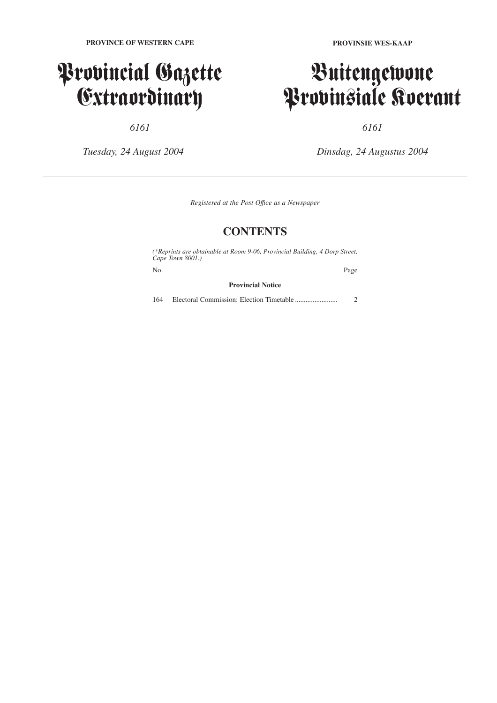### Provincial Gazette Extraordinary

*6161*

*Tuesday, 24 August 2004*

**PROVINSIE WES-KAAP**

## Buitengewone Provinsiale Koerant

*6161*

*Dinsdag, 24 Augustus 2004*

*Registered at the Post Offıce as a Newspaper*

### **CONTENTS**

*(\*Reprints are obtainable at Room 9-06, Provincial Building, 4 Dorp Street, Cape Town 8001.)*

No. Page

#### **Provincial Notice**

164 Electoral Commission: Election Timetable ........................ 2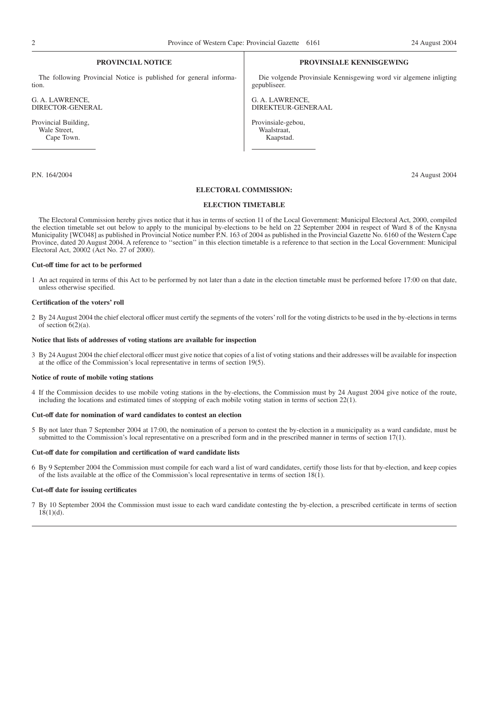#### **PROVINCIAL NOTICE**

The following Provincial Notice is published for general information.

G. A. LAWRENCE, DIRECTOR-GENERAL

Provincial Building, Wale Street, Cape Town.

#### **PROVINSIALE KENNISGEWING**

Die volgende Provinsiale Kennisgewing word vir algemene inligting gepubliseer.

G. A. LAWRENCE, DIREKTEUR-GENERAAL

Provinsiale-gebou, Waalstraat, Kaapstad.

P.N. 164/2004 24 August 2004

#### **ELECTORAL COMMISSION:**

#### **ELECTION TIMETABLE**

The Electoral Commission hereby gives notice that it has in terms of section 11 of the Local Government: Municipal Electoral Act, 2000, compiled the election timetable set out below to apply to the municipal by-elections to be held on 22 September 2004 in respect of Ward 8 of the Knysna Municipality [WC048] as published in Provincial Notice number P.N. 163 of 2004 as published in the Provincial Gazette No. 6160 of the Western Cape Province, dated 20 August 2004. A reference to ''section'' in this election timetable is a reference to that section in the Local Government: Municipal Electoral Act, 20002 (Act No. 27 of 2000).

#### **Cut-off time for act to be performed**

1 An act required in terms of this Act to be performed by not later than a date in the election timetable must be performed before 17:00 on that date, unless otherwise specified.

#### **Certification of the voters' roll**

2 By 24 August 2004 the chief electoral officer must certify the segments of the voters' roll for the voting districts to be used in the by-elections in terms of section  $6(2)(a)$ .

#### **Notice that lists of addresses of voting stations are available for inspection**

3 By 24 August 2004 the chief electoral officer must give notice that copies of a list of voting stations and their addresses will be available for inspection at the office of the Commission's local representative in terms of section 19(5).

#### **Notice of route of mobile voting stations**

4 If the Commission decides to use mobile voting stations in the by-elections, the Commission must by 24 August 2004 give notice of the route, including the locations and estimated times of stopping of each mobile voting station in terms of section 22(1).

#### **Cut-off date for nomination of ward candidates to contest an election**

5 By not later than 7 September 2004 at 17:00, the nomination of a person to contest the by-election in a municipality as a ward candidate, must be submitted to the Commission's local representative on a prescribed form and in the prescribed manner in terms of section 17(1).

#### **Cut-off date for compilation and certification of ward candidate lists**

6 By 9 September 2004 the Commission must compile for each ward a list of ward candidates, certify those lists for that by-election, and keep copies of the lists available at the office of the Commission's local representative in terms of section 18(1).

#### **Cut-off date for issuing certificates**

7 By 10 September 2004 the Commission must issue to each ward candidate contesting the by-election, a prescribed certificate in terms of section  $18(1)(d)$ .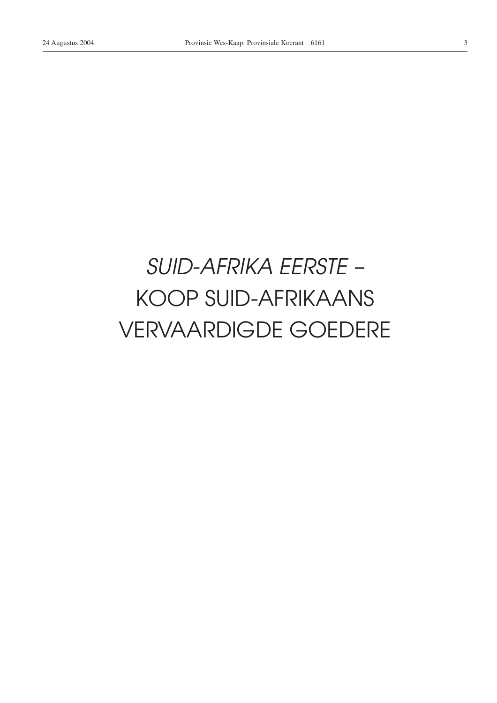## SUID-AFRIKA EERSTE -**KOOP SUID-AFRIKAANS VERVAARDIGDE GOEDERE**